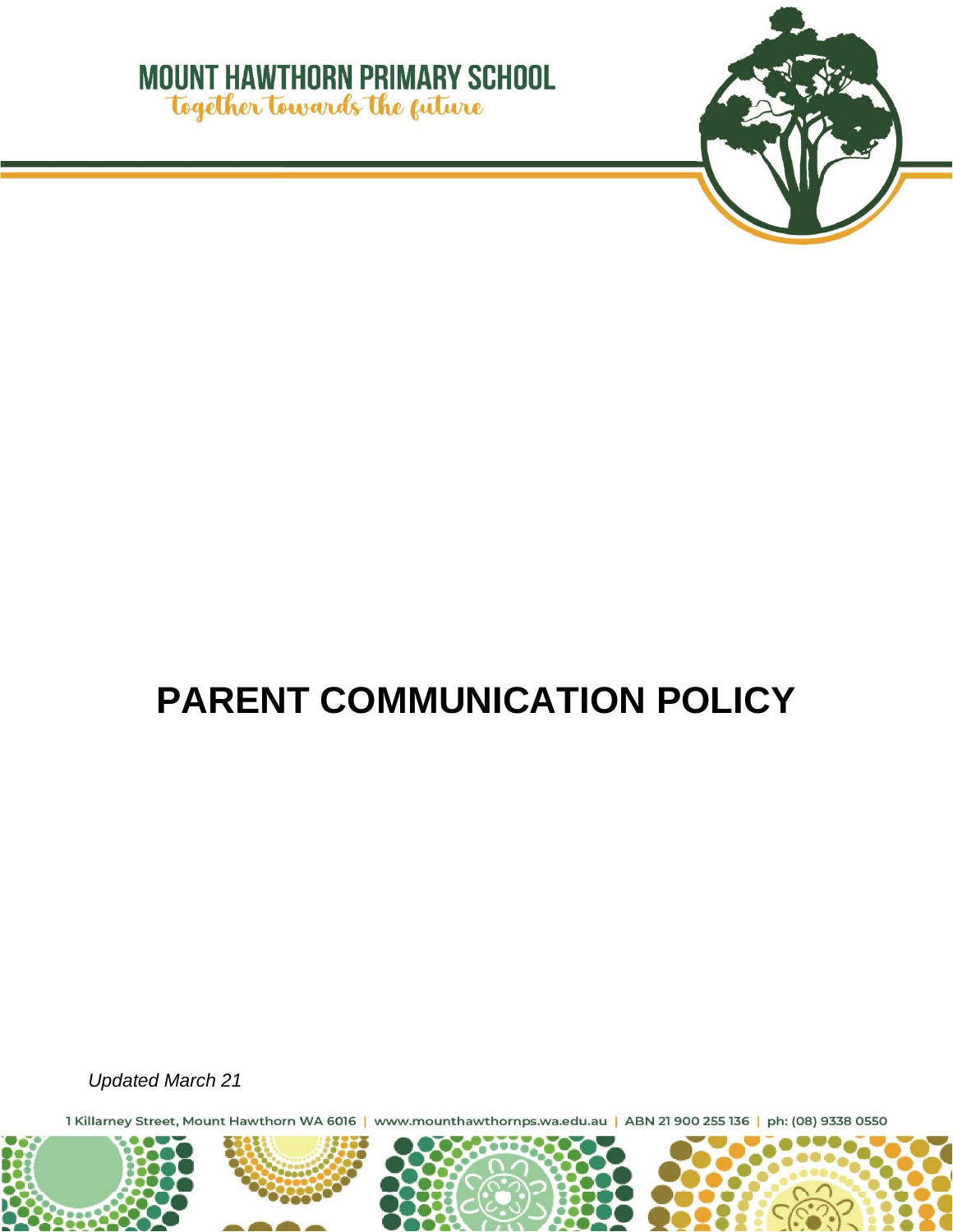## **MOUNT HAWTHORN PRIMARY SCHOOL** Together towards the guture



# **PARENT COMMUNICATION POLICY**

*Updated March 21*

1 Killarney Street, Mount Hawthorn WA 6016 | www.mounthawthornps.wa.edu.au | ABN 21 900 255 136 | ph: (08) 9338 0550

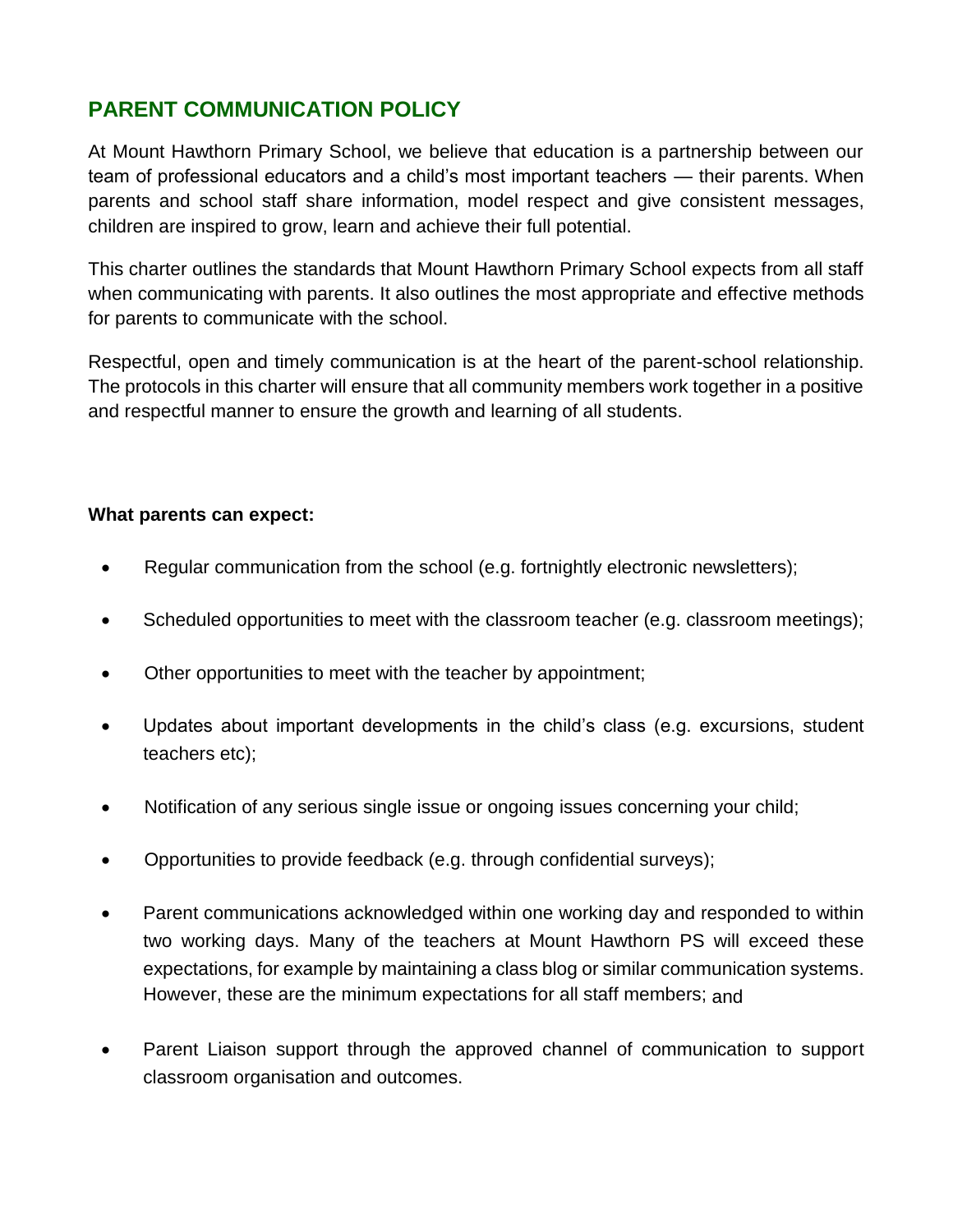## **PARENT COMMUNICATION POLICY**

At Mount Hawthorn Primary School, we believe that education is a partnership between our team of professional educators and a child's most important teachers — their parents. When parents and school staff share information, model respect and give consistent messages, children are inspired to grow, learn and achieve their full potential.

This charter outlines the standards that Mount Hawthorn Primary School expects from all staff when communicating with parents. It also outlines the most appropriate and effective methods for parents to communicate with the school.

Respectful, open and timely communication is at the heart of the parent-school relationship. The protocols in this charter will ensure that all community members work together in a positive and respectful manner to ensure the growth and learning of all students.

#### **What parents can expect:**

- Regular communication from the school (e.g. fortnightly electronic newsletters);
- Scheduled opportunities to meet with the classroom teacher (e.g. classroom meetings);
- Other opportunities to meet with the teacher by appointment;
- Updates about important developments in the child's class (e.g. excursions, student teachers etc);
- Notification of any serious single issue or ongoing issues concerning your child;
- Opportunities to provide feedback (e.g. through confidential surveys);
- Parent communications acknowledged within one working day and responded to within two working days. Many of the teachers at Mount Hawthorn PS will exceed these expectations, for example by maintaining a class blog or similar communication systems. However, these are the minimum expectations for all staff members; and
- Parent Liaison support through the approved channel of communication to support classroom organisation and outcomes.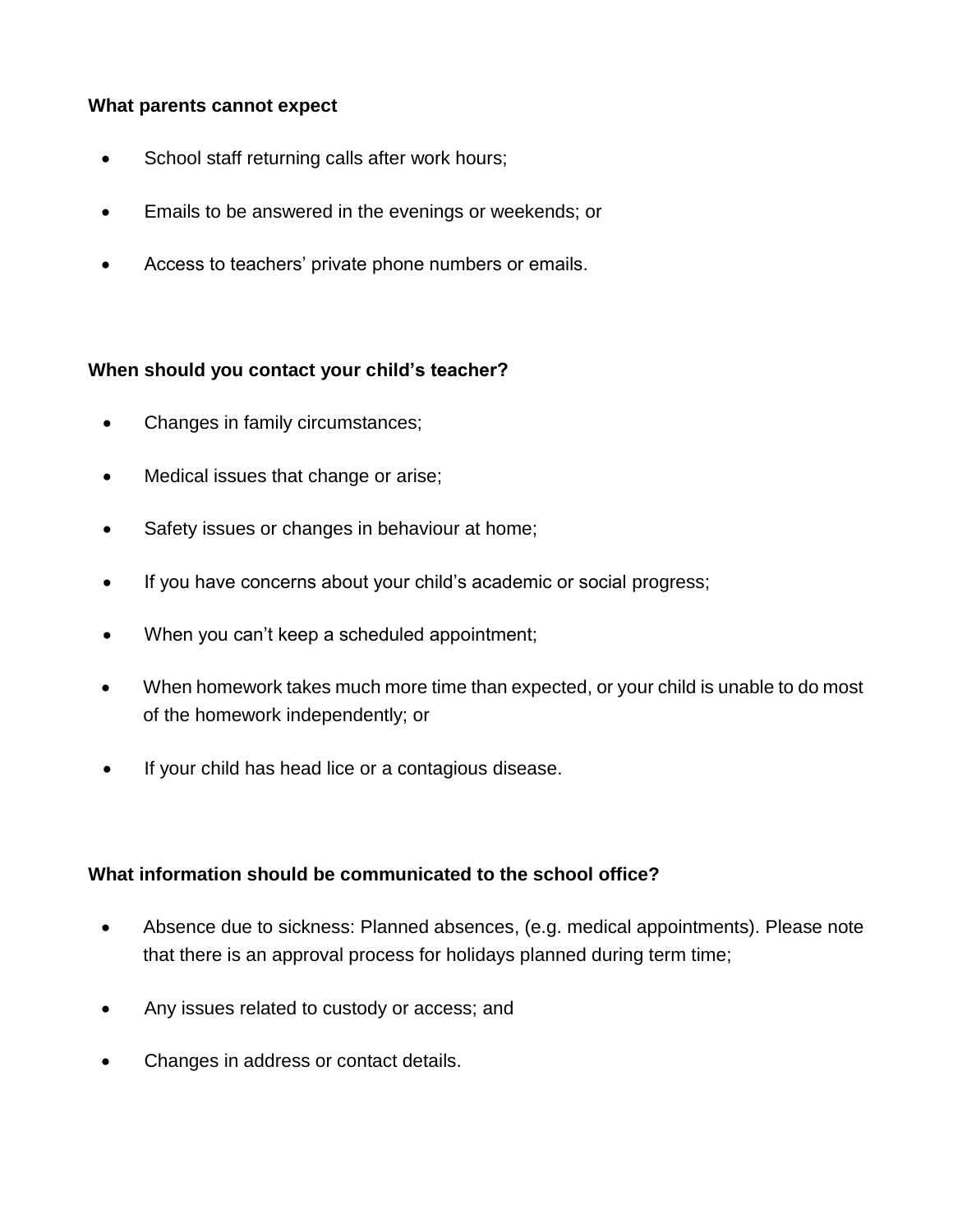#### **What parents cannot expect**

- School staff returning calls after work hours;
- Emails to be answered in the evenings or weekends; or
- Access to teachers' private phone numbers or emails.

#### **When should you contact your child's teacher?**

- Changes in family circumstances;
- Medical issues that change or arise;
- Safety issues or changes in behaviour at home;
- If you have concerns about your child's academic or social progress;
- When you can't keep a scheduled appointment;
- When homework takes much more time than expected, or your child is unable to do most of the homework independently; or
- If your child has head lice or a contagious disease.

#### **What information should be communicated to the school office?**

- Absence due to sickness: Planned absences, (e.g. medical appointments). Please note that there is an approval process for holidays planned during term time;
- Any issues related to custody or access; and
- Changes in address or contact details.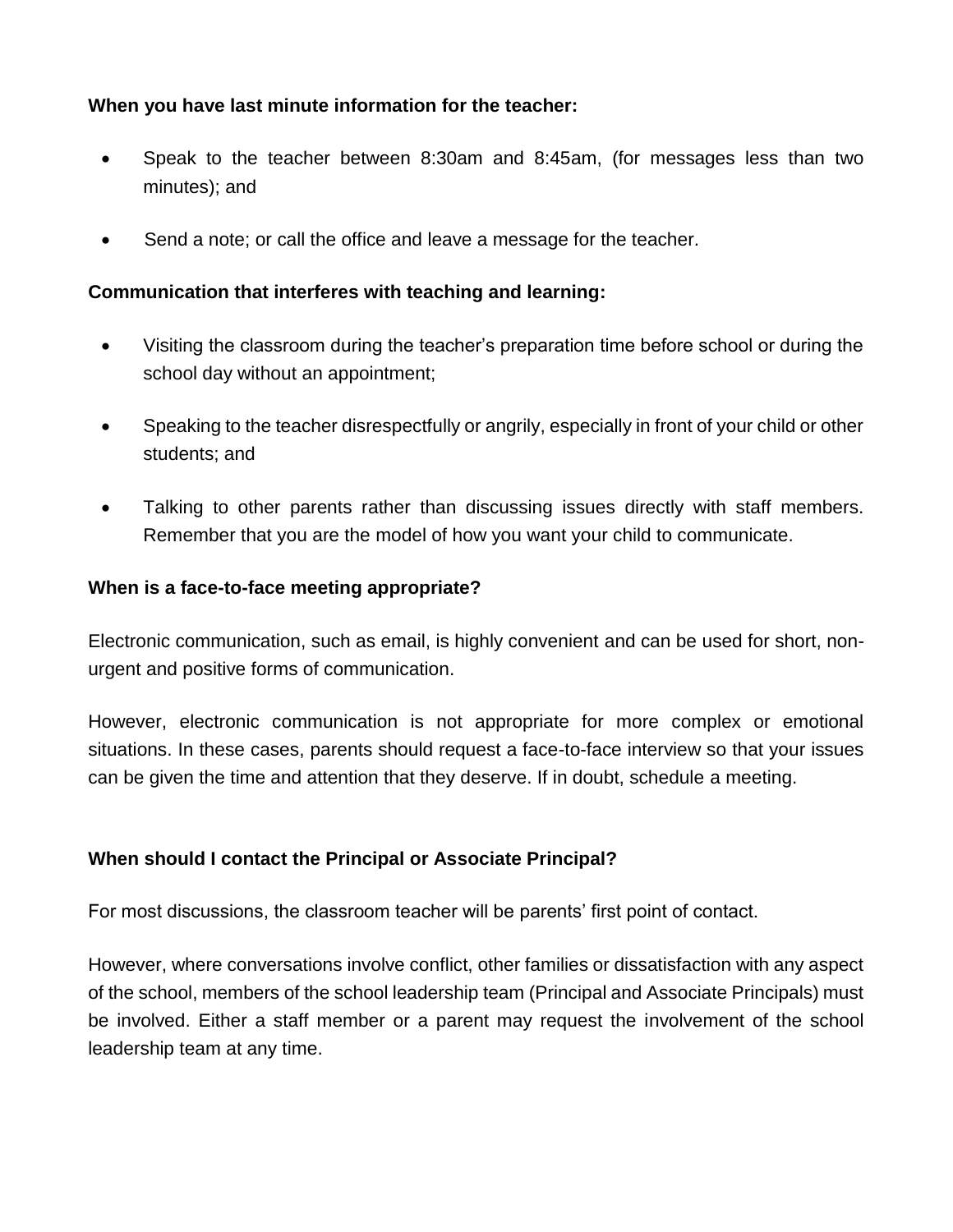#### **When you have last minute information for the teacher:**

- Speak to the teacher between 8:30am and 8:45am, (for messages less than two minutes); and
- Send a note; or call the office and leave a message for the teacher.

#### **Communication that interferes with teaching and learning:**

- Visiting the classroom during the teacher's preparation time before school or during the school day without an appointment;
- Speaking to the teacher disrespectfully or angrily, especially in front of your child or other students; and
- Talking to other parents rather than discussing issues directly with staff members. Remember that you are the model of how you want your child to communicate.

#### **When is a face-to-face meeting appropriate?**

Electronic communication, such as email, is highly convenient and can be used for short, nonurgent and positive forms of communication.

However, electronic communication is not appropriate for more complex or emotional situations. In these cases, parents should request a face-to-face interview so that your issues can be given the time and attention that they deserve. If in doubt, schedule a meeting.

#### **When should I contact the Principal or Associate Principal?**

For most discussions, the classroom teacher will be parents' first point of contact.

However, where conversations involve conflict, other families or dissatisfaction with any aspect of the school, members of the school leadership team (Principal and Associate Principals) must be involved. Either a staff member or a parent may request the involvement of the school leadership team at any time.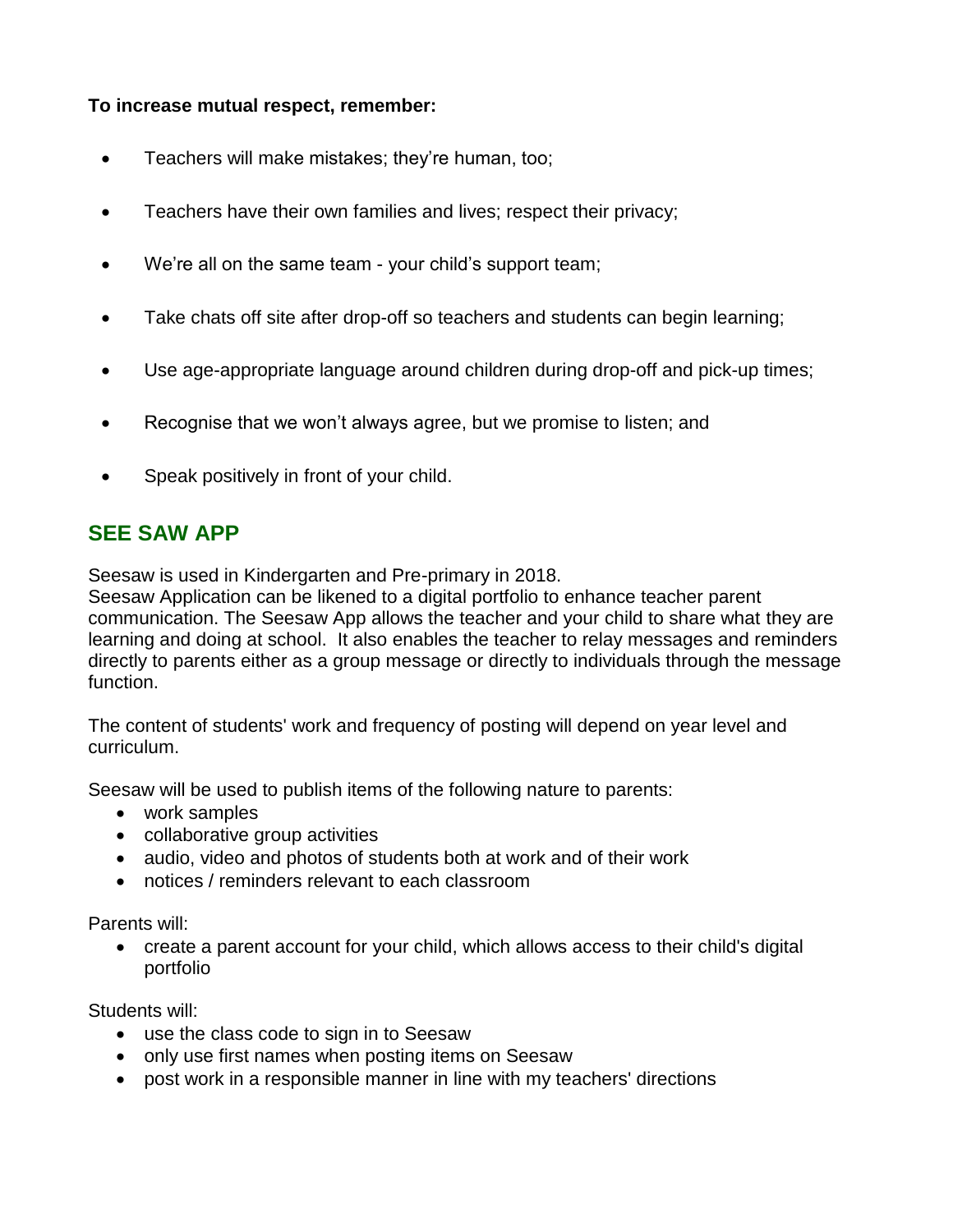#### **To increase mutual respect, remember:**

- **•** Teachers will make mistakes; they're human, too;
- Teachers have their own families and lives; respect their privacy;
- We're all on the same team your child's support team;
- Take chats off site after drop-off so teachers and students can begin learning;
- Use age-appropriate language around children during drop-off and pick-up times;
- Recognise that we won't always agree, but we promise to listen; and
- Speak positively in front of your child.

### **SEE SAW APP**

Seesaw is used in Kindergarten and Pre-primary in 2018.

Seesaw Application can be likened to a digital portfolio to enhance teacher parent communication. The Seesaw App allows the teacher and your child to share what they are learning and doing at school. It also enables the teacher to relay messages and reminders directly to parents either as a group message or directly to individuals through the message function.

The content of students' work and frequency of posting will depend on year level and curriculum.

Seesaw will be used to publish items of the following nature to parents:

- work samples
- collaborative group activities
- audio, video and photos of students both at work and of their work
- notices / reminders relevant to each classroom

Parents will:

 create a parent account for your child, which allows access to their child's digital portfolio

Students will:

- use the class code to sign in to Seesaw
- only use first names when posting items on Seesaw
- post work in a responsible manner in line with my teachers' directions